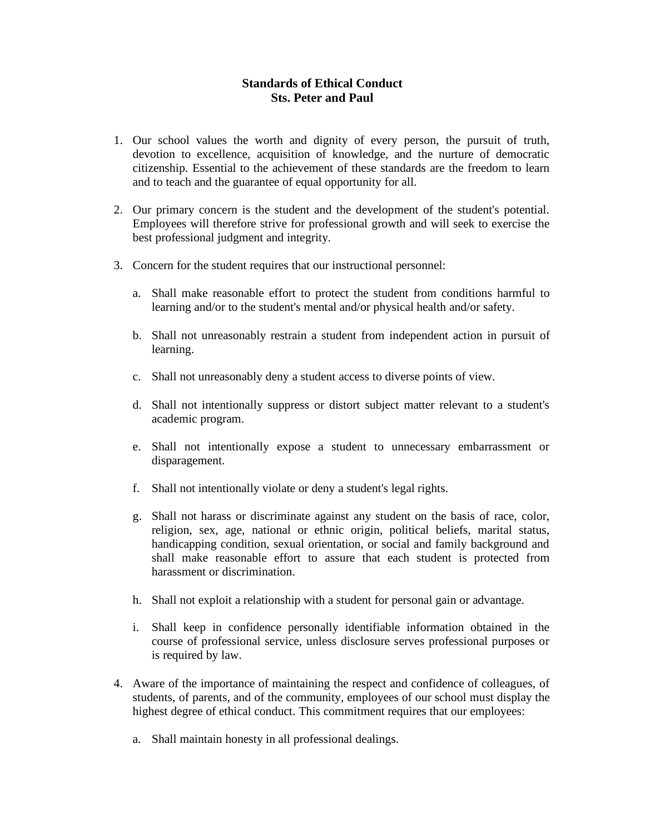## **Standards of Ethical Conduct Sts. Peter and Paul**

- 1. Our school values the worth and dignity of every person, the pursuit of truth, devotion to excellence, acquisition of knowledge, and the nurture of democratic citizenship. Essential to the achievement of these standards are the freedom to learn and to teach and the guarantee of equal opportunity for all.
- 2. Our primary concern is the student and the development of the student's potential. Employees will therefore strive for professional growth and will seek to exercise the best professional judgment and integrity.
- 3. Concern for the student requires that our instructional personnel:
	- a. Shall make reasonable effort to protect the student from conditions harmful to learning and/or to the student's mental and/or physical health and/or safety.
	- b. Shall not unreasonably restrain a student from independent action in pursuit of learning.
	- c. Shall not unreasonably deny a student access to diverse points of view.
	- d. Shall not intentionally suppress or distort subject matter relevant to a student's academic program.
	- e. Shall not intentionally expose a student to unnecessary embarrassment or disparagement.
	- f. Shall not intentionally violate or deny a student's legal rights.
	- g. Shall not harass or discriminate against any student on the basis of race, color, religion, sex, age, national or ethnic origin, political beliefs, marital status, handicapping condition, sexual orientation, or social and family background and shall make reasonable effort to assure that each student is protected from harassment or discrimination.
	- h. Shall not exploit a relationship with a student for personal gain or advantage.
	- i. Shall keep in confidence personally identifiable information obtained in the course of professional service, unless disclosure serves professional purposes or is required by law.
- 4. Aware of the importance of maintaining the respect and confidence of colleagues, of students, of parents, and of the community, employees of our school must display the highest degree of ethical conduct. This commitment requires that our employees:
	- a. Shall maintain honesty in all professional dealings.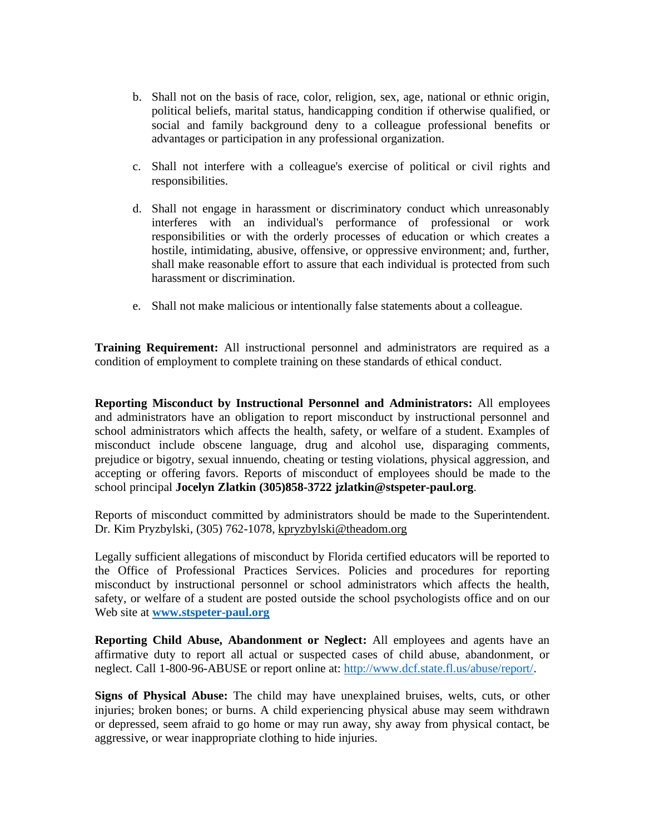- b. Shall not on the basis of race, color, religion, sex, age, national or ethnic origin, political beliefs, marital status, handicapping condition if otherwise qualified, or social and family background deny to a colleague professional benefits or advantages or participation in any professional organization.
- c. Shall not interfere with a colleague's exercise of political or civil rights and responsibilities.
- d. Shall not engage in harassment or discriminatory conduct which unreasonably interferes with an individual's performance of professional or work responsibilities or with the orderly processes of education or which creates a hostile, intimidating, abusive, offensive, or oppressive environment; and, further, shall make reasonable effort to assure that each individual is protected from such harassment or discrimination.
- e. Shall not make malicious or intentionally false statements about a colleague.

**Training Requirement:** All instructional personnel and administrators are required as a condition of employment to complete training on these standards of ethical conduct.

**Reporting Misconduct by Instructional Personnel and Administrators:** All employees and administrators have an obligation to report misconduct by instructional personnel and school administrators which affects the health, safety, or welfare of a student. Examples of misconduct include obscene language, drug and alcohol use, disparaging comments, prejudice or bigotry, sexual innuendo, cheating or testing violations, physical aggression, and accepting or offering favors. Reports of misconduct of employees should be made to the school principal **Jocelyn Zlatkin (305)858-3722 jzlatkin@stspeter-paul.org**.

Reports of misconduct committed by administrators should be made to the Superintendent. Dr. Kim Pryzbylski, (305) 762-1078, [kpryzbylski@theadom.org](mailto:kpryzbylski@theadom.org)

Legally sufficient allegations of misconduct by Florida certified educators will be reported to the Office of Professional Practices Services. Policies and procedures for reporting misconduct by instructional personnel or school administrators which affects the health, safety, or welfare of a student are posted outside the school psychologists office and on our Web site at **[www.stspeter-paul.org](http://www.stspeter-paul.org/)**

**Reporting Child Abuse, Abandonment or Neglect:** All employees and agents have an affirmative duty to report all actual or suspected cases of child abuse, abandonment, or neglect. Call 1-800-96-ABUSE or report online at: [http://www.dcf.state.fl.us/abuse/report/.](http://www.dcf.state.fl.us/abuse/report/)

**Signs of Physical Abuse:** The child may have unexplained bruises, welts, cuts, or other injuries; broken bones; or burns. A child experiencing physical abuse may seem withdrawn or depressed, seem afraid to go home or may run away, shy away from physical contact, be aggressive, or wear inappropriate clothing to hide injuries.